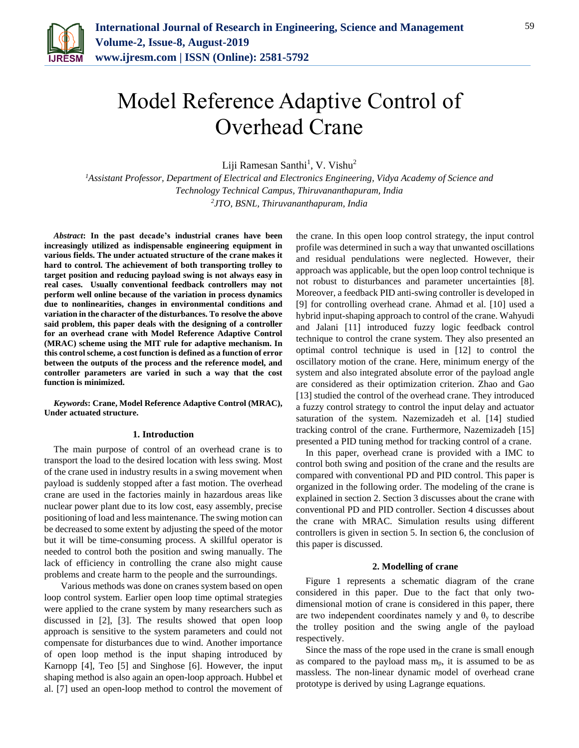

# Model Reference Adaptive Control of Overhead Crane

Liji Ramesan Santhi<sup>1</sup>, V. Vishu<sup>2</sup>

*<sup>1</sup>Assistant Professor, Department of Electrical and Electronics Engineering, Vidya Academy of Science and Technology Technical Campus, Thiruvananthapuram, India 2 JTO, BSNL, Thiruvananthapuram, India*

*Abstract***: In the past decade's industrial cranes have been increasingly utilized as indispensable engineering equipment in various fields. The under actuated structure of the crane makes it hard to control. The achievement of both transporting trolley to target position and reducing payload swing is not always easy in real cases. Usually conventional feedback controllers may not perform well online because of the variation in process dynamics due to nonlinearities, changes in environmental conditions and variation in the character of the disturbances. To resolve the above said problem, this paper deals with the designing of a controller for an overhead crane with Model Reference Adaptive Control (MRAC) scheme using the MIT rule for adaptive mechanism. In this control scheme, a cost function is defined as a function of error between the outputs of the process and the reference model, and controller parameters are varied in such a way that the cost function is minimized.**

*Keywords***: Crane, Model Reference Adaptive Control (MRAC), Under actuated structure.** 

### **1. Introduction**

The main purpose of control of an overhead crane is to transport the load to the desired location with less swing. Most of the crane used in industry results in a swing movement when payload is suddenly stopped after a fast motion. The overhead crane are used in the factories mainly in hazardous areas like nuclear power plant due to its low cost, easy assembly, precise positioning of load and less maintenance. The swing motion can be decreased to some extent by adjusting the speed of the motor but it will be time-consuming process. A skillful operator is needed to control both the position and swing manually. The lack of efficiency in controlling the crane also might cause problems and create harm to the people and the surroundings.

 Various methods was done on cranes system based on open loop control system. Earlier open loop time optimal strategies were applied to the crane system by many researchers such as discussed in [2], [3]. The results showed that open loop approach is sensitive to the system parameters and could not compensate for disturbances due to wind. Another importance of open loop method is the input shaping introduced by Karnopp [4], Teo [5] and Singhose [6]. However, the input shaping method is also again an open-loop approach. Hubbel et al. [7] used an open-loop method to control the movement of the crane. In this open loop control strategy, the input control profile was determined in such a way that unwanted oscillations and residual pendulations were neglected. However, their approach was applicable, but the open loop control technique is not robust to disturbances and parameter uncertainties [8]. Moreover, a feedback PID anti-swing controller is developed in [9] for controlling overhead crane. Ahmad et al. [10] used a hybrid input-shaping approach to control of the crane. Wahyudi and Jalani [11] introduced fuzzy logic feedback control technique to control the crane system. They also presented an optimal control technique is used in [12] to control the oscillatory motion of the crane. Here, minimum energy of the system and also integrated absolute error of the payload angle are considered as their optimization criterion. Zhao and Gao [13] studied the control of the overhead crane. They introduced a fuzzy control strategy to control the input delay and actuator saturation of the system. Nazemizadeh et al. [14] studied tracking control of the crane. Furthermore, Nazemizadeh [15] presented a PID tuning method for tracking control of a crane.

In this paper, overhead crane is provided with a IMC to control both swing and position of the crane and the results are compared with conventional PD and PID control. This paper is organized in the following order. The modeling of the crane is explained in section 2. Section 3 discusses about the crane with conventional PD and PID controller. Section 4 discusses about the crane with MRAC. Simulation results using different controllers is given in section 5. In section 6, the conclusion of this paper is discussed.

#### **2. Modelling of crane**

Figure 1 represents a schematic diagram of the crane considered in this paper. Due to the fact that only twodimensional motion of crane is considered in this paper, there are two independent coordinates namely y and  $\theta_y$  to describe the trolley position and the swing angle of the payload respectively.

Since the mass of the rope used in the crane is small enough as compared to the payload mass  $m_p$ , it is assumed to be as massless. The non-linear dynamic model of overhead crane prototype is derived by using Lagrange equations.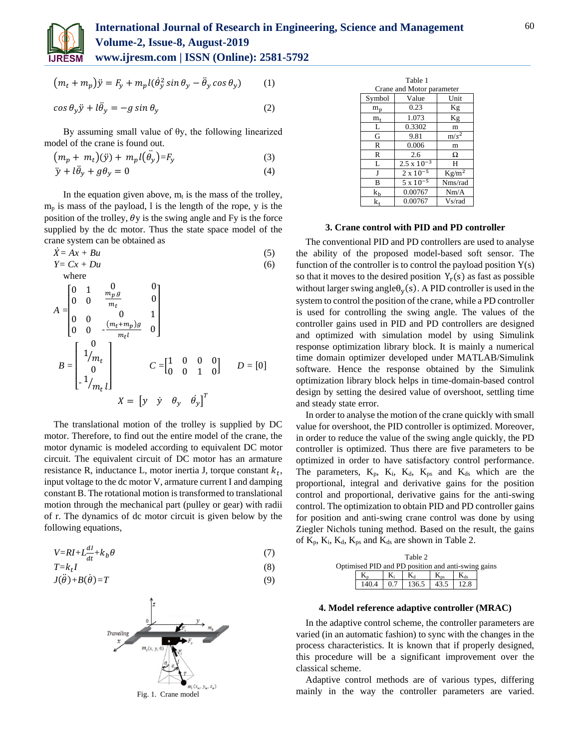

$$
(m_t + m_p)\ddot{y} = F_y + m_p l(\dot{\theta}_y^2 \sin \theta_y - \ddot{\theta}_y \cos \theta_y)
$$
 (1)

$$
\cos \theta_y \ddot{y} + l \ddot{\theta}_y = -g \sin \theta_y \tag{2}
$$

By assuming small value of  $θ$ y, the following linearized model of the crane is found out.

$$
(m_p + m_t)(\ddot{y}) + m_p l(\ddot{\theta}_y) = F_y \tag{3}
$$

$$
\ddot{y} + l\ddot{\theta}_y + g\theta_y = 0 \tag{4}
$$

In the equation given above,  $m_t$  is the mass of the trolley,  $m_p$  is mass of the payload, l is the length of the rope, y is the position of the trolley,  $\theta$ y is the swing angle and Fy is the force supplied by the dc motor. Thus the state space model of the crane system can be obtained as

$$
\begin{aligned}\n\dot{X} &= Ax + Bu \\
Y &= Cx + Du\n\end{aligned}\n\tag{5}
$$

where  
\n
$$
A = \begin{bmatrix}\n0 & 1 & 0 & 0 \\
0 & 0 & \frac{m_p g}{m_t} & 0 \\
0 & 0 & 0 & 1 \\
0 & 0 & -\frac{(m_t + m_p)g}{m_t l} & 0\n\end{bmatrix}
$$
\n
$$
B = \begin{bmatrix}\n1 \\ 1/m_t \\
0 \\ 1/m_t l\n\end{bmatrix} \qquad C = \begin{bmatrix}\n1 & 0 & 0 & 0 \\
0 & 0 & 1 & 0\n\end{bmatrix} \qquad D = [0]
$$
\n
$$
X = \begin{bmatrix} y & \dot{y} & \theta_y & \dot{\theta}_y \end{bmatrix}^T
$$

The translational motion of the trolley is supplied by DC motor. Therefore, to find out the entire model of the crane, the motor dynamic is modeled according to equivalent DC motor circuit. The equivalent circuit of DC motor has an armature resistance R, inductance L, motor inertia J, torque constant  $k_t$ , input voltage to the dc motor V, armature current I and damping constant B. The rotational motion is transformed to translational motion through the mechanical part (pulley or gear) with radii of r. The dynamics of dc motor circuit is given below by the following equations,

$$
V=RI+L\frac{dI}{dt}+k_b\theta\tag{7}
$$
  

$$
T-kI\tag{8}
$$

$$
T=k_t I
$$
  
\n
$$
J(\ddot{\theta})+B(\dot{\theta})=T
$$
\n(8)



| Table 1                   |                      |          |  |  |  |  |  |  |
|---------------------------|----------------------|----------|--|--|--|--|--|--|
| Crane and Motor parameter |                      |          |  |  |  |  |  |  |
| Symbol                    | Value                | Unit     |  |  |  |  |  |  |
| $m_p$                     | 0.23                 | Kg       |  |  |  |  |  |  |
| $m_{t}$                   | 1.073                | Κg       |  |  |  |  |  |  |
| L                         | 0.3302               | m        |  |  |  |  |  |  |
| G                         | 9.81                 | $m/s^2$  |  |  |  |  |  |  |
| R                         | 0.006                | m        |  |  |  |  |  |  |
| R                         | 2.6                  | Ω        |  |  |  |  |  |  |
| L                         | $2.5 \times 10^{-3}$ | Н        |  |  |  |  |  |  |
| J                         | $2 \times 10^{-5}$   | $Kg/m^2$ |  |  |  |  |  |  |
| B                         | $5 \times 10^{-5}$   | Nms/rad  |  |  |  |  |  |  |
| $k_b$                     | 0.00767              | Nm/A     |  |  |  |  |  |  |
| k.                        | 0.00767              | Vs/rad   |  |  |  |  |  |  |

## **3. Crane control with PID and PD controller**

The conventional PID and PD controllers are used to analyse the ability of the proposed model-based soft sensor. The function of the controller is to control the payload position  $Y(s)$ so that it moves to the desired position  $Y_r(s)$  as fast as possible without larger swing angle $\theta_y(s)$ . A PID controller is used in the system to control the position of the crane, while a PD controller is used for controlling the swing angle. The values of the controller gains used in PID and PD controllers are designed and optimized with simulation model by using Simulink response optimization library block. It is mainly a numerical time domain optimizer developed under MATLAB/Simulink software. Hence the response obtained by the Simulink optimization library block helps in time-domain-based control design by setting the desired value of overshoot, settling time and steady state error.

In order to analyse the motion of the crane quickly with small value for overshoot, the PID controller is optimized. Moreover, in order to reduce the value of the swing angle quickly, the PD controller is optimized. Thus there are five parameters to be optimized in order to have satisfactory control performance. The parameters,  $K_p$ ,  $K_i$ ,  $K_d$ ,  $K_{ps}$  and  $K_{ds}$  which are the proportional, integral and derivative gains for the position control and proportional, derivative gains for the anti-swing control. The optimization to obtain PID and PD controller gains for position and anti-swing crane control was done by using Ziegler Nichols tuning method. Based on the result, the gains of  $K_p$ ,  $K_i$ ,  $K_d$ ,  $K_{ps}$  and  $K_{ds}$  are shown in Table 2.

| Table 2<br>Optimised PID and PD position and anti-swing gains |       |    |                                                     |  |  |  |  |
|---------------------------------------------------------------|-------|----|-----------------------------------------------------|--|--|--|--|
|                                                               |       | K. | Ka                                                  |  |  |  |  |
|                                                               | 140.4 |    | $\vert 0.7 \vert 136.5 \vert 43.5 \vert 12.8 \vert$ |  |  |  |  |

#### **4. Model reference adaptive controller (MRAC)**

In the adaptive control scheme, the controller parameters are varied (in an automatic fashion) to sync with the changes in the process characteristics. It is known that if properly designed, this procedure will be a significant improvement over the classical scheme.

Adaptive control methods are of various types, differing mainly in the way the controller parameters are varied.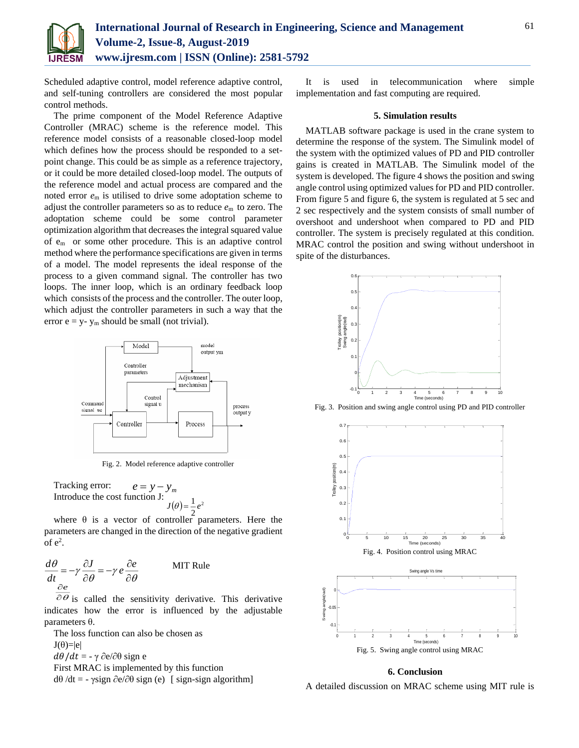

Scheduled adaptive control, model reference adaptive control, and self-tuning controllers are considered the most popular control methods.

The prime component of the Model Reference Adaptive Controller (MRAC) scheme is the reference model. This reference model consists of a reasonable closed-loop model which defines how the process should be responded to a setpoint change. This could be as simple as a reference trajectory, or it could be more detailed closed-loop model. The outputs of the reference model and actual process are compared and the noted error *e*<sup>m</sup> is utilised to drive some adoptation scheme to adjust the controller parameters so as to reduce *e*m to zero. The adoptation scheme could be some control parameter optimization algorithm that decreases the integral squared value of em or some other procedure. This is an adaptive control method where the performance specifications are given in terms of a model. The model represents the ideal response of the process to a given command signal. The controller has two loops. The inner loop, which is an ordinary feedback loop which consists of the process and the controller. The outer loop, which adjust the controller parameters in such a way that the error  $e = y - y_m$  should be small (not trivial).



Fig. 2. Model reference adaptive controller

Tracking error: Introduce the cost function J:  $e = y - y_m$  $(\theta) = \frac{1}{2}e^2$ 2  $J(\theta) = \frac{1}{\pi} e^{i\theta}$ 

where  $\theta$  is a vector of controller parameters. Here the parameters are changed in the direction of the negative gradient  $of e<sup>2</sup>.$ 

$$
\frac{d\theta}{dt} = -\gamma \frac{\partial J}{\partial \theta} = -\gamma e \frac{\partial e}{\partial \theta}
$$
 MIT Rule

 $\partial \theta$  is called the sensitivity derivative. This derivative indicates how the error is influenced by the adjustable parameters θ.

The loss function can also be chosen as  $J(\theta)=|e|$  $d\theta/dt = -\gamma \partial e/\partial \theta$  sign e First MRAC is implemented by this function dθ /dt = - γsign ∂e/∂θ sign (e) [ sign-sign algorithm]

It is used in telecommunication where simple implementation and fast computing are required.

#### **5. Simulation results**

MATLAB software package is used in the crane system to determine the response of the system. The Simulink model of the system with the optimized values of PD and PID controller gains is created in MATLAB. The Simulink model of the system is developed. The figure 4 shows the position and swing angle control using optimized values for PD and PID controller. From figure 5 and figure 6, the system is regulated at 5 sec and 2 sec respectively and the system consists of small number of overshoot and undershoot when compared to PD and PID controller. The system is precisely regulated at this condition. MRAC control the position and swing without undershoot in spite of the disturbances.



Fig. 3. Position and swing angle control using PD and PID controller



#### **6. Conclusion**

A detailed discussion on MRAC scheme using MIT rule is